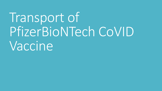# Transport of PfizerBioNTech CoVID Vaccine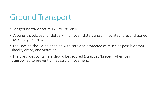# Ground Transport

- For ground transport at +2C to +8C only.
- Vaccine is packaged for delivery in a frozen state using an insulated, preconditioned cooler (e.g., Playmate).
- The vaccine should be handled with care and protected as much as possible from shocks, drops, and vibration.
- The transport containers should be secured (strapped/braced) when being transported to prevent unnecessary movement.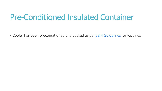# Pre-Conditioned Insulated Container

• Cooler has been preconditioned and packed as per **S&H Guidelines** for vaccines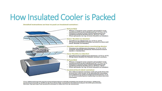# How Insulated Cooler is Packed

### Detailed instructions on how to pack an insulated container:









- Winter transport may require gel pack(s) to be conditioned from the refrigerator at +2°C to +8°C.
- Summer transport may require gelpack(s) to be
- conditioned from the freezer at -10°C to -20°C.
- · Place gel packs on top of outer flexible ice blanket.

### Outer flexible ice blanket

- Condition in refrigerator at +2 $^{\circ}$ C to +8 $^{\circ}$ C.
- Wrapouterflexibleiceblanket around vaccines and inner flexible ice blanket.

### Vaccine and temperature monitoring device

· Vaccines in refrigerator between +2°C to +8°C. Position maximum-minimum thermometersensor ÷. inside a vaccine box.

### Inner flexible ice blanket

Conditioned in refrigerator between +2°C to +8°C. s. Wrap inner flexible ice blanket around vaccines.

### Gel pack(s)

- · Winter transport may require gel pack(s) to be conditioned from the refrigerator at +2°C to +8°C.
- Summertransport may require gel pack(s) to be conditioned from the freezer at -10°C to -20°C.
- Place gel packs on top of outer flexible ice blanket.

### Insulated hard sided container

· Pre-chill insulated container with gel packs from the freezer for a few hours or by placing the container in a refrigerator until a temperature between +2°C to +8°C is reached prior to placing vaccines into the container.

Note: Additional icepacks may be required depending on cold-life needed for the length of transport. Additional insulating material (e.g., bubble wrap, Styrofoam chips, crumpled or shredded newspaper) should be placed inside (bottom, top and sides) the insulated container to allow for cool air circulation.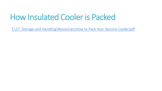# How Insulated Cooler is Packed

T:\17 Storage and Handling\Resources\How to Pack Your Vaccine Cooler.pdf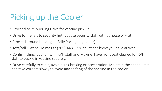# Picking up the Cooler

- Proceed to 29 Sperling Drive for vaccine pick up.
- Drive to the left to security hut, update security staff with purpose of visit.
- Proceed around building to Sally Port (garage door)
- Text/call Maxine Holmes at (705)-443-1736 to let her know you have arrived
- Confirm clinic location with RVH staff and Maxine, have front seat cleared for RVH staff to buckle in vaccine securely.
- Drive carefully to clinic, avoid quick braking or acceleration. Maintain the speed limit and take corners slowly to avoid any shifting of the vaccine in the cooler.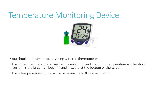## Temperature Monitoring Device



•You should not have to do anything with the thermometer.

- •The current temperature as well as the minimum and maximum temperature will be shown (current is the large number, min and max are at the bottom of the screen
- •These temperatures should all be between 2 and 8 degrees Celsius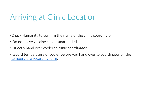# Arriving at Clinic Location

- •Check Humanity to confirm the name of the clinic coordinator
- Do not leave vaccine cooler unattended.
- Directly hand over cooler to clinic coordinator.
- •Record temperature of cooler before you hand over to coordinator on the [temperature recording form](file:///C:/Users/mbovett/Desktop/COVID Vaccine Outreach Clinic Jan 2021_revised_20210127.docx).